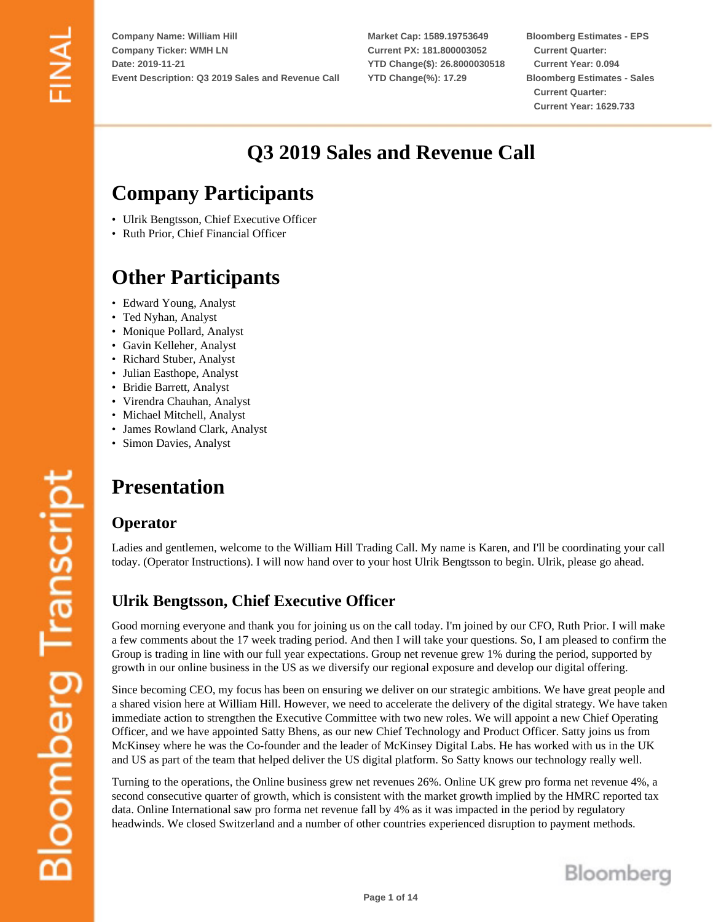**Market Cap: 1589.19753649 Current PX: 181.800003052 YTD Change(\$): 26.8000030518 YTD Change(%): 17.29**

**Bloomberg Estimates - EPS Current Quarter: Current Year: 0.094 Bloomberg Estimates - Sales Current Quarter: Current Year: 1629.733**

# **Q3 2019 Sales and Revenue Call**

# **Company Participants**

- Ulrik Bengtsson, Chief Executive Officer
- Ruth Prior, Chief Financial Officer

# **Other Participants**

- Edward Young, Analyst
- Ted Nyhan, Analyst
- Monique Pollard, Analyst
- Gavin Kelleher, Analyst
- Richard Stuber, Analyst
- Julian Easthope, Analyst
- Bridie Barrett, Analyst
- Virendra Chauhan, Analyst
- Michael Mitchell, Analyst
- James Rowland Clark, Analyst
- Simon Davies, Analyst

# **Presentation**

#### **Operator**

Ladies and gentlemen, welcome to the William Hill Trading Call. My name is Karen, and I'll be coordinating your call today. (Operator Instructions). I will now hand over to your host Ulrik Bengtsson to begin. Ulrik, please go ahead.

# **Ulrik Bengtsson, Chief Executive Officer**

Good morning everyone and thank you for joining us on the call today. I'm joined by our CFO, Ruth Prior. I will make a few comments about the 17 week trading period. And then I will take your questions. So, I am pleased to confirm the Group is trading in line with our full year expectations. Group net revenue grew 1% during the period, supported by growth in our online business in the US as we diversify our regional exposure and develop our digital offering.

Since becoming CEO, my focus has been on ensuring we deliver on our strategic ambitions. We have great people and a shared vision here at William Hill. However, we need to accelerate the delivery of the digital strategy. We have taken immediate action to strengthen the Executive Committee with two new roles. We will appoint a new Chief Operating Officer, and we have appointed Satty Bhens, as our new Chief Technology and Product Officer. Satty joins us from McKinsey where he was the Co-founder and the leader of McKinsey Digital Labs. He has worked with us in the UK and US as part of the team that helped deliver the US digital platform. So Satty knows our technology really well.

Turning to the operations, the Online business grew net revenues 26%. Online UK grew pro forma net revenue 4%, a second consecutive quarter of growth, which is consistent with the market growth implied by the HMRC reported tax data. Online International saw pro forma net revenue fall by 4% as it was impacted in the period by regulatory headwinds. We closed Switzerland and a number of other countries experienced disruption to payment methods.

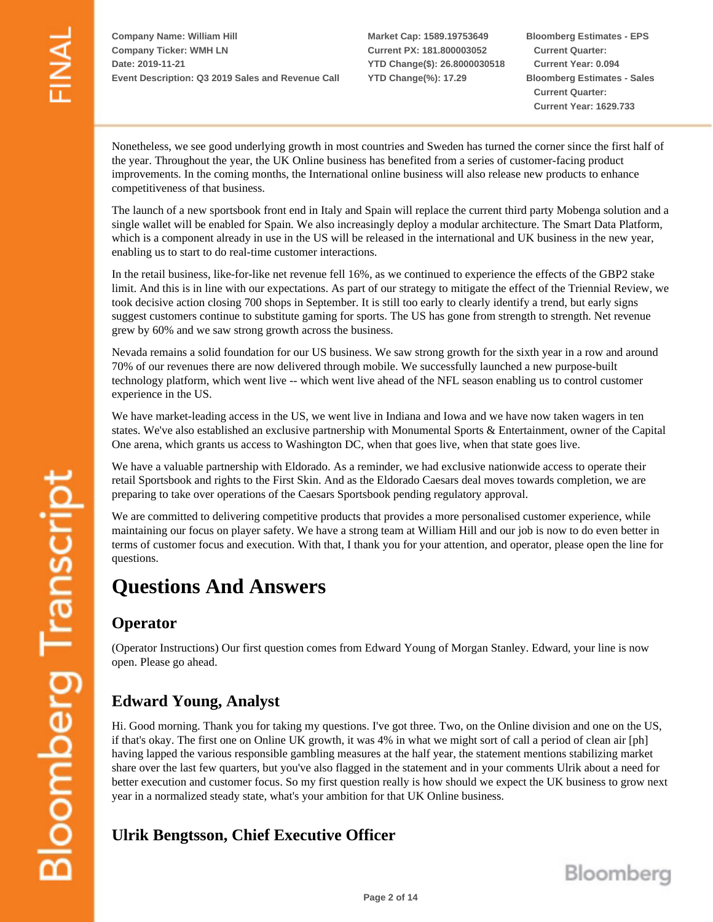**Market Cap: 1589.19753649 Current PX: 181.800003052 YTD Change(\$): 26.8000030518 YTD Change(%): 17.29**

**Bloomberg Estimates - EPS Current Quarter: Current Year: 0.094 Bloomberg Estimates - Sales Current Quarter: Current Year: 1629.733**

Nonetheless, we see good underlying growth in most countries and Sweden has turned the corner since the first half of the year. Throughout the year, the UK Online business has benefited from a series of customer-facing product improvements. In the coming months, the International online business will also release new products to enhance competitiveness of that business.

The launch of a new sportsbook front end in Italy and Spain will replace the current third party Mobenga solution and a single wallet will be enabled for Spain. We also increasingly deploy a modular architecture. The Smart Data Platform, which is a component already in use in the US will be released in the international and UK business in the new year, enabling us to start to do real-time customer interactions.

In the retail business, like-for-like net revenue fell 16%, as we continued to experience the effects of the GBP2 stake limit. And this is in line with our expectations. As part of our strategy to mitigate the effect of the Triennial Review, we took decisive action closing 700 shops in September. It is still too early to clearly identify a trend, but early signs suggest customers continue to substitute gaming for sports. The US has gone from strength to strength. Net revenue grew by 60% and we saw strong growth across the business.

Nevada remains a solid foundation for our US business. We saw strong growth for the sixth year in a row and around 70% of our revenues there are now delivered through mobile. We successfully launched a new purpose-built technology platform, which went live -- which went live ahead of the NFL season enabling us to control customer experience in the US.

We have market-leading access in the US, we went live in Indiana and Iowa and we have now taken wagers in ten states. We've also established an exclusive partnership with Monumental Sports & Entertainment, owner of the Capital One arena, which grants us access to Washington DC, when that goes live, when that state goes live.

We have a valuable partnership with Eldorado. As a reminder, we had exclusive nationwide access to operate their retail Sportsbook and rights to the First Skin. And as the Eldorado Caesars deal moves towards completion, we are preparing to take over operations of the Caesars Sportsbook pending regulatory approval.

We are committed to delivering competitive products that provides a more personalised customer experience, while maintaining our focus on player safety. We have a strong team at William Hill and our job is now to do even better in terms of customer focus and execution. With that, I thank you for your attention, and operator, please open the line for questions.

# **Questions And Answers**

# **Operator**

(Operator Instructions) Our first question comes from Edward Young of Morgan Stanley. Edward, your line is now open. Please go ahead.

# **Edward Young, Analyst**

Hi. Good morning. Thank you for taking my questions. I've got three. Two, on the Online division and one on the US, if that's okay. The first one on Online UK growth, it was 4% in what we might sort of call a period of clean air [ph] having lapped the various responsible gambling measures at the half year, the statement mentions stabilizing market share over the last few quarters, but you've also flagged in the statement and in your comments Ulrik about a need for better execution and customer focus. So my first question really is how should we expect the UK business to grow next year in a normalized steady state, what's your ambition for that UK Online business.

# **Ulrik Bengtsson, Chief Executive Officer**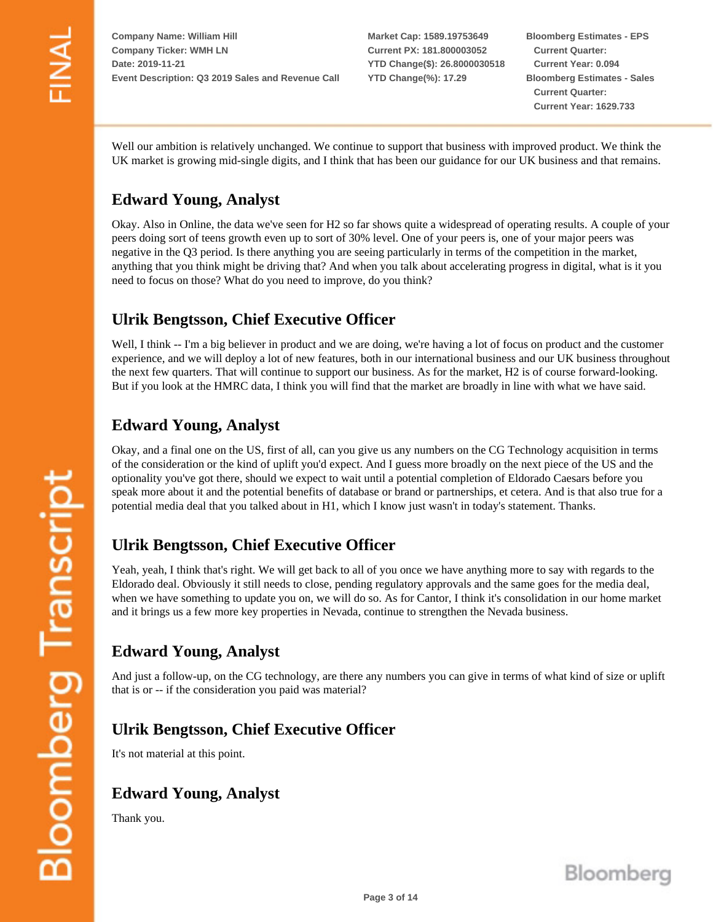**Market Cap: 1589.19753649 Current PX: 181.800003052 YTD Change(\$): 26.8000030518 YTD Change(%): 17.29**

**Bloomberg Estimates - EPS Current Quarter: Current Year: 0.094 Bloomberg Estimates - Sales Current Quarter: Current Year: 1629.733**

Well our ambition is relatively unchanged. We continue to support that business with improved product. We think the UK market is growing mid-single digits, and I think that has been our guidance for our UK business and that remains.

# **Edward Young, Analyst**

Okay. Also in Online, the data we've seen for H2 so far shows quite a widespread of operating results. A couple of your peers doing sort of teens growth even up to sort of 30% level. One of your peers is, one of your major peers was negative in the Q3 period. Is there anything you are seeing particularly in terms of the competition in the market, anything that you think might be driving that? And when you talk about accelerating progress in digital, what is it you need to focus on those? What do you need to improve, do you think?

# **Ulrik Bengtsson, Chief Executive Officer**

Well, I think -- I'm a big believer in product and we are doing, we're having a lot of focus on product and the customer experience, and we will deploy a lot of new features, both in our international business and our UK business throughout the next few quarters. That will continue to support our business. As for the market, H2 is of course forward-looking. But if you look at the HMRC data, I think you will find that the market are broadly in line with what we have said.

# **Edward Young, Analyst**

Okay, and a final one on the US, first of all, can you give us any numbers on the CG Technology acquisition in terms of the consideration or the kind of uplift you'd expect. And I guess more broadly on the next piece of the US and the optionality you've got there, should we expect to wait until a potential completion of Eldorado Caesars before you speak more about it and the potential benefits of database or brand or partnerships, et cetera. And is that also true for a potential media deal that you talked about in H1, which I know just wasn't in today's statement. Thanks.

# **Ulrik Bengtsson, Chief Executive Officer**

Yeah, yeah, I think that's right. We will get back to all of you once we have anything more to say with regards to the Eldorado deal. Obviously it still needs to close, pending regulatory approvals and the same goes for the media deal, when we have something to update you on, we will do so. As for Cantor, I think it's consolidation in our home market and it brings us a few more key properties in Nevada, continue to strengthen the Nevada business.

# **Edward Young, Analyst**

And just a follow-up, on the CG technology, are there any numbers you can give in terms of what kind of size or uplift that is or -- if the consideration you paid was material?

# **Ulrik Bengtsson, Chief Executive Officer**

It's not material at this point.

# **Edward Young, Analyst**

Thank you.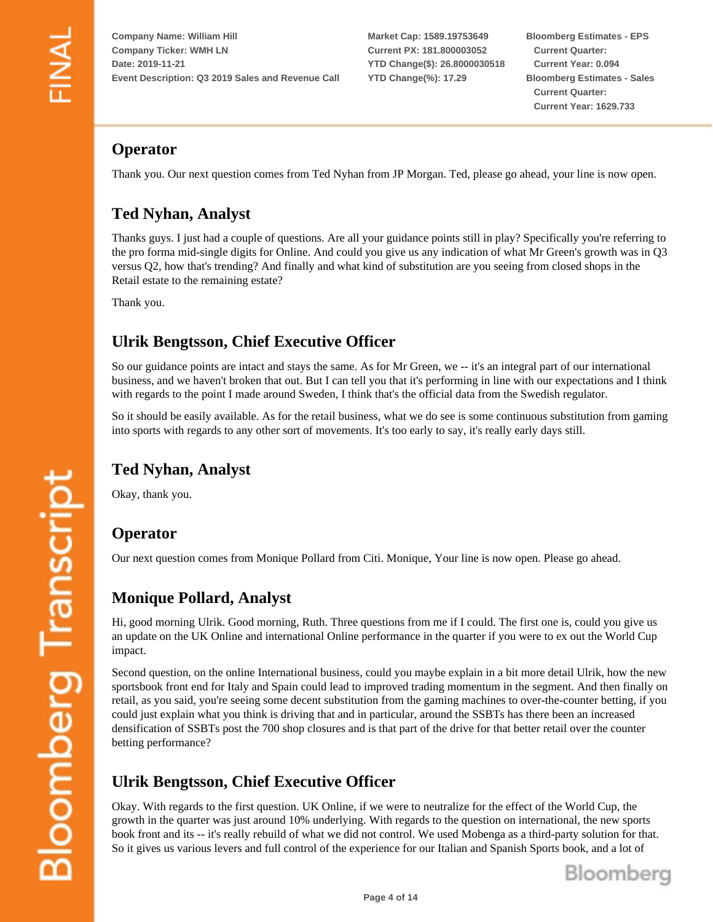**Market Cap: 1589.19753649 Current PX: 181.800003052 YTD Change(\$): 26.8000030518 YTD Change(%): 17.29**

**Bloomberg Estimates - EPS Current Quarter: Current Year: 0.094 Bloomberg Estimates - Sales Current Quarter: Current Year: 1629.733**

# **Operator**

Thank you. Our next question comes from Ted Nyhan from JP Morgan. Ted, please go ahead, your line is now open.

# **Ted Nyhan, Analyst**

Thanks guys. I just had a couple of questions. Are all your guidance points still in play? Specifically you're referring to the pro forma mid-single digits for Online. And could you give us any indication of what Mr Green's growth was in Q3 versus Q2, how that's trending? And finally and what kind of substitution are you seeing from closed shops in the Retail estate to the remaining estate?

Thank you.

# **Ulrik Bengtsson, Chief Executive Officer**

So our guidance points are intact and stays the same. As for Mr Green, we -- it's an integral part of our international business, and we haven't broken that out. But I can tell you that it's performing in line with our expectations and I think with regards to the point I made around Sweden, I think that's the official data from the Swedish regulator.

So it should be easily available. As for the retail business, what we do see is some continuous substitution from gaming into sports with regards to any other sort of movements. It's too early to say, it's really early days still.

# **Ted Nyhan, Analyst**

Okay, thank you.

# **Operator**

Our next question comes from Monique Pollard from Citi. Monique, Your line is now open. Please go ahead.

# **Monique Pollard, Analyst**

Hi, good morning Ulrik. Good morning, Ruth. Three questions from me if I could. The first one is, could you give us an update on the UK Online and international Online performance in the quarter if you were to ex out the World Cup impact.

Second question, on the online International business, could you maybe explain in a bit more detail Ulrik, how the new sportsbook front end for Italy and Spain could lead to improved trading momentum in the segment. And then finally on retail, as you said, you're seeing some decent substitution from the gaming machines to over-the-counter betting, if you could just explain what you think is driving that and in particular, around the SSBTs has there been an increased densification of SSBTs post the 700 shop closures and is that part of the drive for that better retail over the counter betting performance?

#### **Ulrik Bengtsson, Chief Executive Officer**

Okay. With regards to the first question. UK Online, if we were to neutralize for the effect of the World Cup, the growth in the quarter was just around 10% underlying. With regards to the question on international, the new sports book front and its -- it's really rebuild of what we did not control. We used Mobenga as a third-party solution for that. So it gives us various levers and full control of the experience for our Italian and Spanish Sports book, and a lot of

**Page 4 of 14**

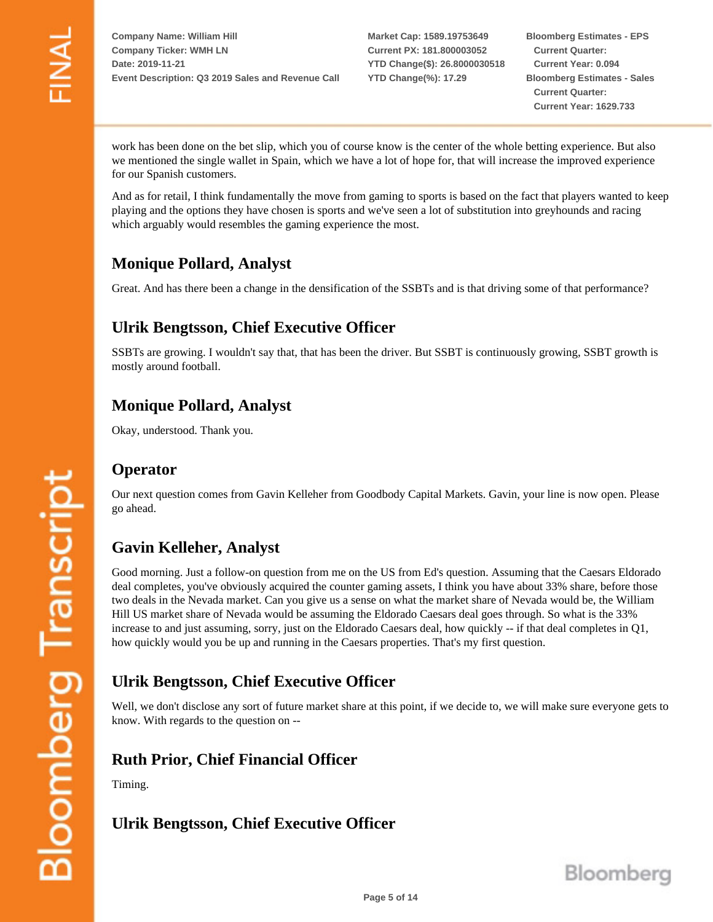**Market Cap: 1589.19753649 Current PX: 181.800003052 YTD Change(\$): 26.8000030518 YTD Change(%): 17.29**

**Bloomberg Estimates - EPS Current Quarter: Current Year: 0.094 Bloomberg Estimates - Sales Current Quarter: Current Year: 1629.733**

work has been done on the bet slip, which you of course know is the center of the whole betting experience. But also we mentioned the single wallet in Spain, which we have a lot of hope for, that will increase the improved experience for our Spanish customers.

And as for retail, I think fundamentally the move from gaming to sports is based on the fact that players wanted to keep playing and the options they have chosen is sports and we've seen a lot of substitution into greyhounds and racing which arguably would resembles the gaming experience the most.

# **Monique Pollard, Analyst**

Great. And has there been a change in the densification of the SSBTs and is that driving some of that performance?

## **Ulrik Bengtsson, Chief Executive Officer**

SSBTs are growing. I wouldn't say that, that has been the driver. But SSBT is continuously growing, SSBT growth is mostly around football.

# **Monique Pollard, Analyst**

Okay, understood. Thank you.

#### **Operator**

Our next question comes from Gavin Kelleher from Goodbody Capital Markets. Gavin, your line is now open. Please go ahead.

# **Gavin Kelleher, Analyst**

Good morning. Just a follow-on question from me on the US from Ed's question. Assuming that the Caesars Eldorado deal completes, you've obviously acquired the counter gaming assets, I think you have about 33% share, before those two deals in the Nevada market. Can you give us a sense on what the market share of Nevada would be, the William Hill US market share of Nevada would be assuming the Eldorado Caesars deal goes through. So what is the 33% increase to and just assuming, sorry, just on the Eldorado Caesars deal, how quickly -- if that deal completes in Q1, how quickly would you be up and running in the Caesars properties. That's my first question.

# **Ulrik Bengtsson, Chief Executive Officer**

Well, we don't disclose any sort of future market share at this point, if we decide to, we will make sure everyone gets to know. With regards to the question on --

#### **Ruth Prior, Chief Financial Officer**

Timing.

# **Ulrik Bengtsson, Chief Executive Officer**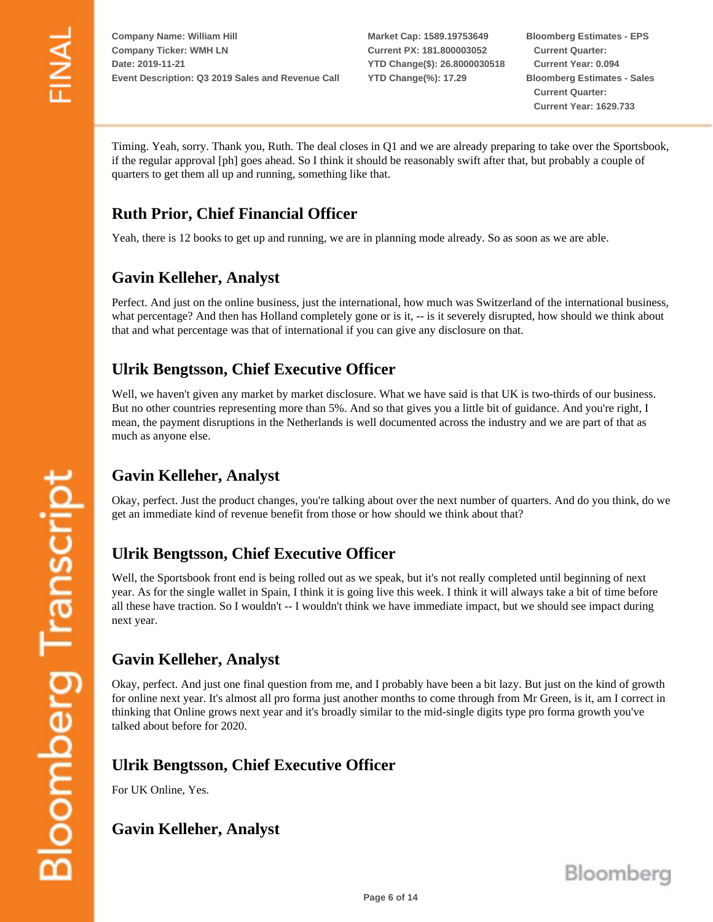**Market Cap: 1589.19753649 Current PX: 181.800003052 YTD Change(\$): 26.8000030518 YTD Change(%): 17.29**

**Bloomberg Estimates - EPS Current Quarter: Current Year: 0.094 Bloomberg Estimates - Sales Current Quarter: Current Year: 1629.733**

Timing. Yeah, sorry. Thank you, Ruth. The deal closes in Q1 and we are already preparing to take over the Sportsbook, if the regular approval [ph] goes ahead. So I think it should be reasonably swift after that, but probably a couple of quarters to get them all up and running, something like that.

# **Ruth Prior, Chief Financial Officer**

Yeah, there is 12 books to get up and running, we are in planning mode already. So as soon as we are able.

# **Gavin Kelleher, Analyst**

Perfect. And just on the online business, just the international, how much was Switzerland of the international business, what percentage? And then has Holland completely gone or is it,  $-$  is it severely disrupted, how should we think about that and what percentage was that of international if you can give any disclosure on that.

# **Ulrik Bengtsson, Chief Executive Officer**

Well, we haven't given any market by market disclosure. What we have said is that UK is two-thirds of our business. But no other countries representing more than 5%. And so that gives you a little bit of guidance. And you're right, I mean, the payment disruptions in the Netherlands is well documented across the industry and we are part of that as much as anyone else.

# **Gavin Kelleher, Analyst**

Okay, perfect. Just the product changes, you're talking about over the next number of quarters. And do you think, do we get an immediate kind of revenue benefit from those or how should we think about that?

# **Ulrik Bengtsson, Chief Executive Officer**

Well, the Sportsbook front end is being rolled out as we speak, but it's not really completed until beginning of next year. As for the single wallet in Spain, I think it is going live this week. I think it will always take a bit of time before all these have traction. So I wouldn't -- I wouldn't think we have immediate impact, but we should see impact during next year.

#### **Gavin Kelleher, Analyst**

Okay, perfect. And just one final question from me, and I probably have been a bit lazy. But just on the kind of growth for online next year. It's almost all pro forma just another months to come through from Mr Green, is it, am I correct in thinking that Online grows next year and it's broadly similar to the mid-single digits type pro forma growth you've talked about before for 2020.

#### **Ulrik Bengtsson, Chief Executive Officer**

For UK Online, Yes.

#### **Gavin Kelleher, Analyst**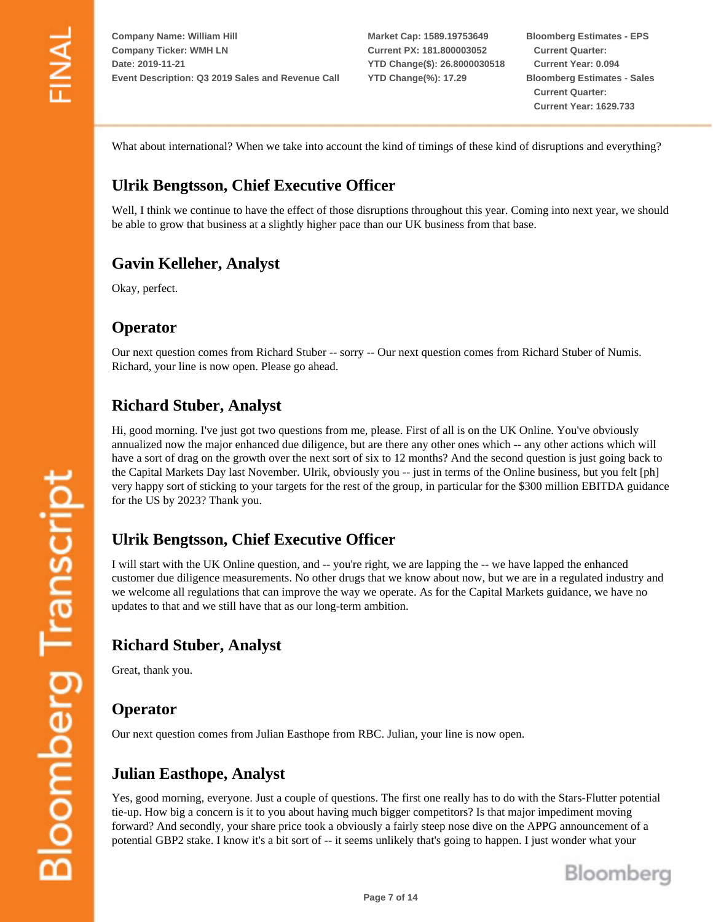**Market Cap: 1589.19753649 Current PX: 181.800003052 YTD Change(\$): 26.8000030518 YTD Change(%): 17.29**

**Bloomberg Estimates - EPS Current Quarter: Current Year: 0.094 Bloomberg Estimates - Sales Current Quarter: Current Year: 1629.733**

What about international? When we take into account the kind of timings of these kind of disruptions and everything?

## **Ulrik Bengtsson, Chief Executive Officer**

Well, I think we continue to have the effect of those disruptions throughout this year. Coming into next year, we should be able to grow that business at a slightly higher pace than our UK business from that base.

#### **Gavin Kelleher, Analyst**

Okay, perfect.

#### **Operator**

Our next question comes from Richard Stuber -- sorry -- Our next question comes from Richard Stuber of Numis. Richard, your line is now open. Please go ahead.

## **Richard Stuber, Analyst**

Hi, good morning. I've just got two questions from me, please. First of all is on the UK Online. You've obviously annualized now the major enhanced due diligence, but are there any other ones which -- any other actions which will have a sort of drag on the growth over the next sort of six to 12 months? And the second question is just going back to the Capital Markets Day last November. Ulrik, obviously you -- just in terms of the Online business, but you felt [ph] very happy sort of sticking to your targets for the rest of the group, in particular for the \$300 million EBITDA guidance for the US by 2023? Thank you.

#### **Ulrik Bengtsson, Chief Executive Officer**

I will start with the UK Online question, and -- you're right, we are lapping the -- we have lapped the enhanced customer due diligence measurements. No other drugs that we know about now, but we are in a regulated industry and we welcome all regulations that can improve the way we operate. As for the Capital Markets guidance, we have no updates to that and we still have that as our long-term ambition.

#### **Richard Stuber, Analyst**

Great, thank you.

#### **Operator**

Our next question comes from Julian Easthope from RBC. Julian, your line is now open.

#### **Julian Easthope, Analyst**

Yes, good morning, everyone. Just a couple of questions. The first one really has to do with the Stars-Flutter potential tie-up. How big a concern is it to you about having much bigger competitors? Is that major impediment moving forward? And secondly, your share price took a obviously a fairly steep nose dive on the APPG announcement of a potential GBP2 stake. I know it's a bit sort of -- it seems unlikely that's going to happen. I just wonder what your

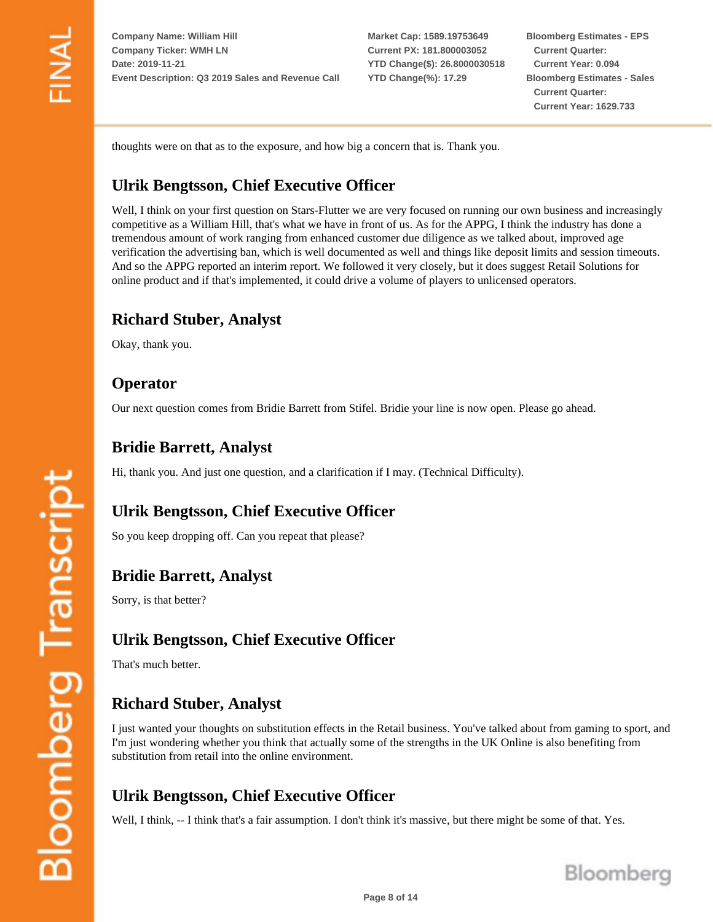**Market Cap: 1589.19753649 Current PX: 181.800003052 YTD Change(\$): 26.8000030518 YTD Change(%): 17.29**

**Bloomberg Estimates - EPS Current Quarter: Current Year: 0.094 Bloomberg Estimates - Sales Current Quarter: Current Year: 1629.733**

thoughts were on that as to the exposure, and how big a concern that is. Thank you.

# **Ulrik Bengtsson, Chief Executive Officer**

Well, I think on your first question on Stars-Flutter we are very focused on running our own business and increasingly competitive as a William Hill, that's what we have in front of us. As for the APPG, I think the industry has done a tremendous amount of work ranging from enhanced customer due diligence as we talked about, improved age verification the advertising ban, which is well documented as well and things like deposit limits and session timeouts. And so the APPG reported an interim report. We followed it very closely, but it does suggest Retail Solutions for online product and if that's implemented, it could drive a volume of players to unlicensed operators.

#### **Richard Stuber, Analyst**

Okay, thank you.

#### **Operator**

Our next question comes from Bridie Barrett from Stifel. Bridie your line is now open. Please go ahead.

#### **Bridie Barrett, Analyst**

Hi, thank you. And just one question, and a clarification if I may. (Technical Difficulty).

# **Ulrik Bengtsson, Chief Executive Officer**

So you keep dropping off. Can you repeat that please?

#### **Bridie Barrett, Analyst**

Sorry, is that better?

#### **Ulrik Bengtsson, Chief Executive Officer**

That's much better.

# **Richard Stuber, Analyst**

I just wanted your thoughts on substitution effects in the Retail business. You've talked about from gaming to sport, and I'm just wondering whether you think that actually some of the strengths in the UK Online is also benefiting from substitution from retail into the online environment.

# **Ulrik Bengtsson, Chief Executive Officer**

Well, I think, -- I think that's a fair assumption. I don't think it's massive, but there might be some of that. Yes.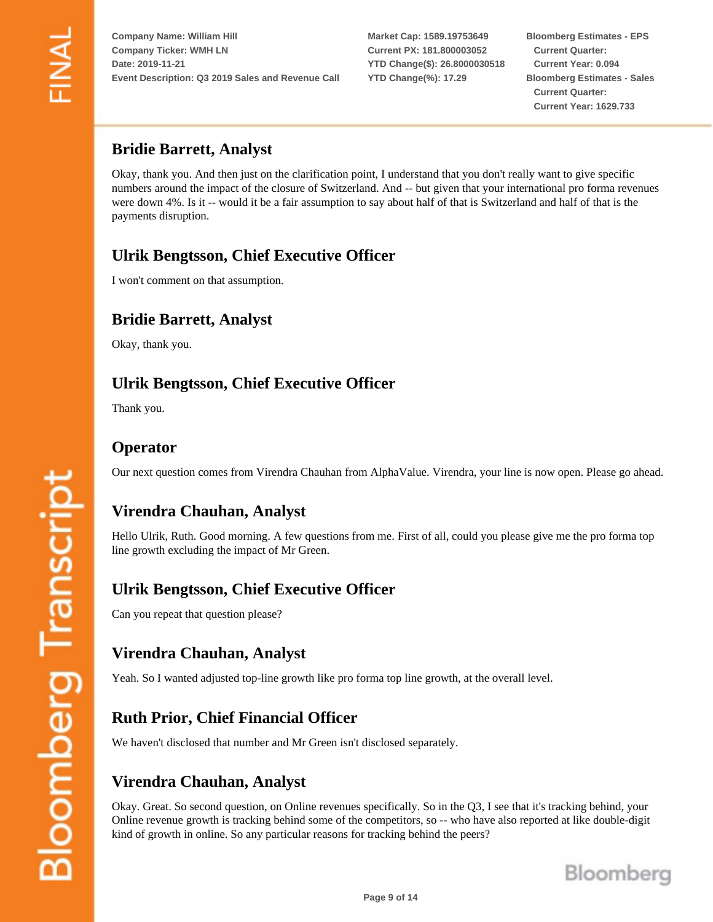**Market Cap: 1589.19753649 Current PX: 181.800003052 YTD Change(\$): 26.8000030518 YTD Change(%): 17.29**

**Bloomberg Estimates - EPS Current Quarter: Current Year: 0.094 Bloomberg Estimates - Sales Current Quarter: Current Year: 1629.733**

#### **Bridie Barrett, Analyst**

Okay, thank you. And then just on the clarification point, I understand that you don't really want to give specific numbers around the impact of the closure of Switzerland. And -- but given that your international pro forma revenues were down 4%. Is it -- would it be a fair assumption to say about half of that is Switzerland and half of that is the payments disruption.

# **Ulrik Bengtsson, Chief Executive Officer**

I won't comment on that assumption.

## **Bridie Barrett, Analyst**

Okay, thank you.

## **Ulrik Bengtsson, Chief Executive Officer**

Thank you.

#### **Operator**

Our next question comes from Virendra Chauhan from AlphaValue. Virendra, your line is now open. Please go ahead.

# **Virendra Chauhan, Analyst**

Hello Ulrik, Ruth. Good morning. A few questions from me. First of all, could you please give me the pro forma top line growth excluding the impact of Mr Green.

#### **Ulrik Bengtsson, Chief Executive Officer**

Can you repeat that question please?

#### **Virendra Chauhan, Analyst**

Yeah. So I wanted adjusted top-line growth like pro forma top line growth, at the overall level.

#### **Ruth Prior, Chief Financial Officer**

We haven't disclosed that number and Mr Green isn't disclosed separately.

#### **Virendra Chauhan, Analyst**

Okay. Great. So second question, on Online revenues specifically. So in the Q3, I see that it's tracking behind, your Online revenue growth is tracking behind some of the competitors, so -- who have also reported at like double-digit kind of growth in online. So any particular reasons for tracking behind the peers?

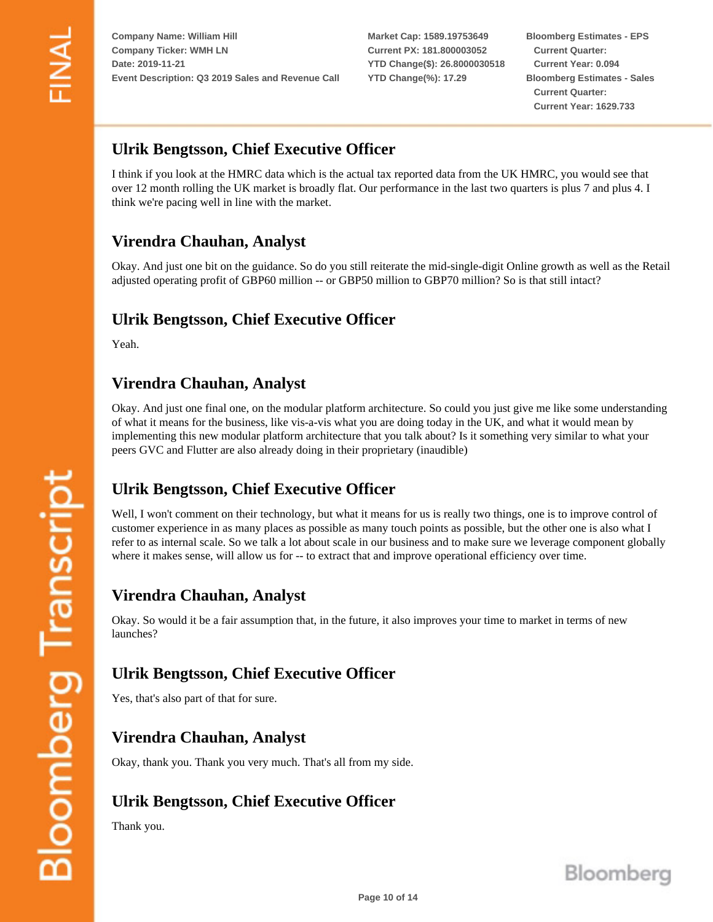**Market Cap: 1589.19753649 Current PX: 181.800003052 YTD Change(\$): 26.8000030518 YTD Change(%): 17.29**

**Bloomberg Estimates - EPS Current Quarter: Current Year: 0.094 Bloomberg Estimates - Sales Current Quarter: Current Year: 1629.733**

## **Ulrik Bengtsson, Chief Executive Officer**

I think if you look at the HMRC data which is the actual tax reported data from the UK HMRC, you would see that over 12 month rolling the UK market is broadly flat. Our performance in the last two quarters is plus 7 and plus 4. I think we're pacing well in line with the market.

# **Virendra Chauhan, Analyst**

Okay. And just one bit on the guidance. So do you still reiterate the mid-single-digit Online growth as well as the Retail adjusted operating profit of GBP60 million -- or GBP50 million to GBP70 million? So is that still intact?

## **Ulrik Bengtsson, Chief Executive Officer**

Yeah.

## **Virendra Chauhan, Analyst**

Okay. And just one final one, on the modular platform architecture. So could you just give me like some understanding of what it means for the business, like vis-a-vis what you are doing today in the UK, and what it would mean by implementing this new modular platform architecture that you talk about? Is it something very similar to what your peers GVC and Flutter are also already doing in their proprietary (inaudible)

# **Ulrik Bengtsson, Chief Executive Officer**

Well, I won't comment on their technology, but what it means for us is really two things, one is to improve control of customer experience in as many places as possible as many touch points as possible, but the other one is also what I refer to as internal scale. So we talk a lot about scale in our business and to make sure we leverage component globally where it makes sense, will allow us for -- to extract that and improve operational efficiency over time.

#### **Virendra Chauhan, Analyst**

Okay. So would it be a fair assumption that, in the future, it also improves your time to market in terms of new launches?

#### **Ulrik Bengtsson, Chief Executive Officer**

Yes, that's also part of that for sure.

#### **Virendra Chauhan, Analyst**

Okay, thank you. Thank you very much. That's all from my side.

#### **Ulrik Bengtsson, Chief Executive Officer**

Thank you.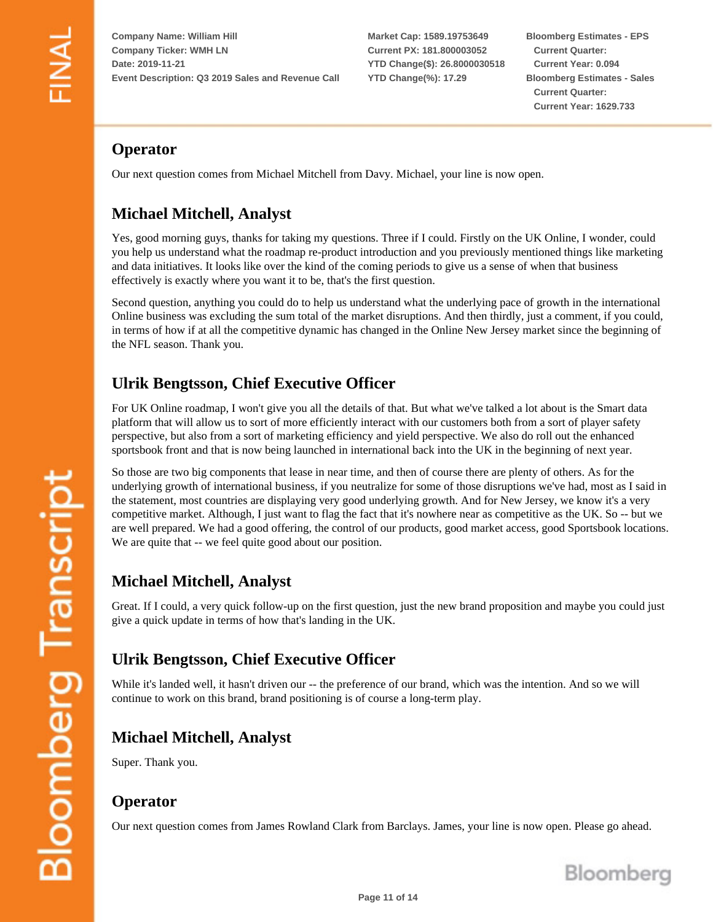**Market Cap: 1589.19753649 Current PX: 181.800003052 YTD Change(\$): 26.8000030518 YTD Change(%): 17.29**

**Bloomberg Estimates - EPS Current Quarter: Current Year: 0.094 Bloomberg Estimates - Sales Current Quarter: Current Year: 1629.733**

# **Operator**

Our next question comes from Michael Mitchell from Davy. Michael, your line is now open.

# **Michael Mitchell, Analyst**

Yes, good morning guys, thanks for taking my questions. Three if I could. Firstly on the UK Online, I wonder, could you help us understand what the roadmap re-product introduction and you previously mentioned things like marketing and data initiatives. It looks like over the kind of the coming periods to give us a sense of when that business effectively is exactly where you want it to be, that's the first question.

Second question, anything you could do to help us understand what the underlying pace of growth in the international Online business was excluding the sum total of the market disruptions. And then thirdly, just a comment, if you could, in terms of how if at all the competitive dynamic has changed in the Online New Jersey market since the beginning of the NFL season. Thank you.

# **Ulrik Bengtsson, Chief Executive Officer**

For UK Online roadmap, I won't give you all the details of that. But what we've talked a lot about is the Smart data platform that will allow us to sort of more efficiently interact with our customers both from a sort of player safety perspective, but also from a sort of marketing efficiency and yield perspective. We also do roll out the enhanced sportsbook front and that is now being launched in international back into the UK in the beginning of next year.

So those are two big components that lease in near time, and then of course there are plenty of others. As for the underlying growth of international business, if you neutralize for some of those disruptions we've had, most as I said in the statement, most countries are displaying very good underlying growth. And for New Jersey, we know it's a very competitive market. Although, I just want to flag the fact that it's nowhere near as competitive as the UK. So -- but we are well prepared. We had a good offering, the control of our products, good market access, good Sportsbook locations. We are quite that -- we feel quite good about our position.

# **Michael Mitchell, Analyst**

Great. If I could, a very quick follow-up on the first question, just the new brand proposition and maybe you could just give a quick update in terms of how that's landing in the UK.

# **Ulrik Bengtsson, Chief Executive Officer**

While it's landed well, it hasn't driven our -- the preference of our brand, which was the intention. And so we will continue to work on this brand, brand positioning is of course a long-term play.

# **Michael Mitchell, Analyst**

Super. Thank you.

#### **Operator**

Our next question comes from James Rowland Clark from Barclays. James, your line is now open. Please go ahead.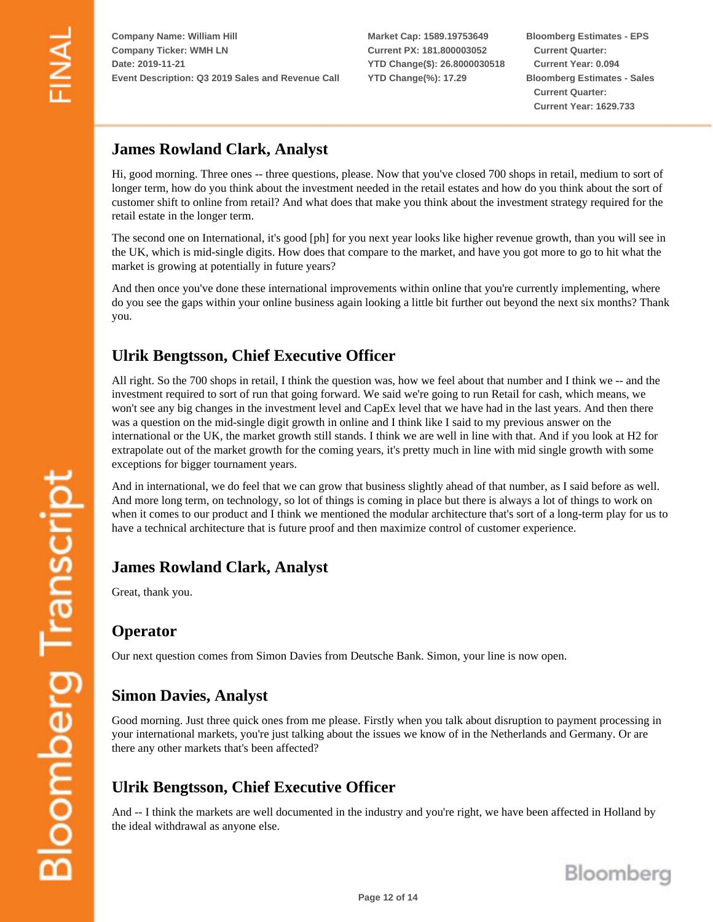**Market Cap: 1589.19753649 Current PX: 181.800003052 YTD Change(\$): 26.8000030518 YTD Change(%): 17.29**

**Bloomberg Estimates - EPS Current Quarter: Current Year: 0.094 Bloomberg Estimates - Sales Current Quarter: Current Year: 1629.733**

#### **James Rowland Clark, Analyst**

Hi, good morning. Three ones -- three questions, please. Now that you've closed 700 shops in retail, medium to sort of longer term, how do you think about the investment needed in the retail estates and how do you think about the sort of customer shift to online from retail? And what does that make you think about the investment strategy required for the retail estate in the longer term.

The second one on International, it's good [ph] for you next year looks like higher revenue growth, than you will see in the UK, which is mid-single digits. How does that compare to the market, and have you got more to go to hit what the market is growing at potentially in future years?

And then once you've done these international improvements within online that you're currently implementing, where do you see the gaps within your online business again looking a little bit further out beyond the next six months? Thank you.

## **Ulrik Bengtsson, Chief Executive Officer**

All right. So the 700 shops in retail, I think the question was, how we feel about that number and I think we -- and the investment required to sort of run that going forward. We said we're going to run Retail for cash, which means, we won't see any big changes in the investment level and CapEx level that we have had in the last years. And then there was a question on the mid-single digit growth in online and I think like I said to my previous answer on the international or the UK, the market growth still stands. I think we are well in line with that. And if you look at H2 for extrapolate out of the market growth for the coming years, it's pretty much in line with mid single growth with some exceptions for bigger tournament years.

And in international, we do feel that we can grow that business slightly ahead of that number, as I said before as well. And more long term, on technology, so lot of things is coming in place but there is always a lot of things to work on when it comes to our product and I think we mentioned the modular architecture that's sort of a long-term play for us to have a technical architecture that is future proof and then maximize control of customer experience.

#### **James Rowland Clark, Analyst**

Great, thank you.

#### **Operator**

Our next question comes from Simon Davies from Deutsche Bank. Simon, your line is now open.

#### **Simon Davies, Analyst**

Good morning. Just three quick ones from me please. Firstly when you talk about disruption to payment processing in your international markets, you're just talking about the issues we know of in the Netherlands and Germany. Or are there any other markets that's been affected?

# **Ulrik Bengtsson, Chief Executive Officer**

And -- I think the markets are well documented in the industry and you're right, we have been affected in Holland by the ideal withdrawal as anyone else.

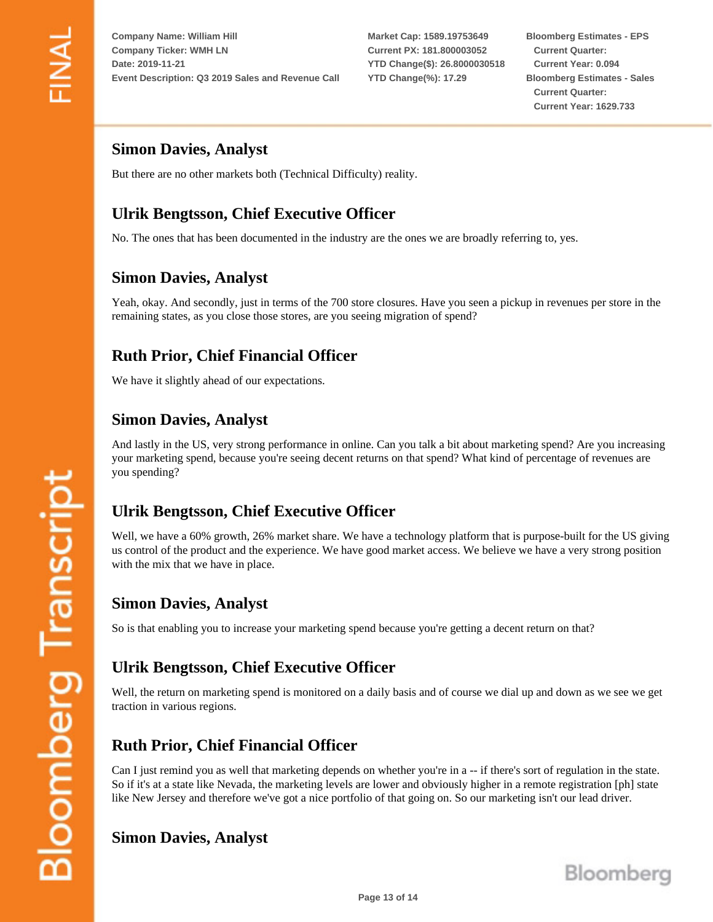**Market Cap: 1589.19753649 Current PX: 181.800003052 YTD Change(\$): 26.8000030518 YTD Change(%): 17.29**

**Bloomberg Estimates - EPS Current Quarter: Current Year: 0.094 Bloomberg Estimates - Sales Current Quarter: Current Year: 1629.733**

#### **Simon Davies, Analyst**

But there are no other markets both (Technical Difficulty) reality.

# **Ulrik Bengtsson, Chief Executive Officer**

No. The ones that has been documented in the industry are the ones we are broadly referring to, yes.

#### **Simon Davies, Analyst**

Yeah, okay. And secondly, just in terms of the 700 store closures. Have you seen a pickup in revenues per store in the remaining states, as you close those stores, are you seeing migration of spend?

#### **Ruth Prior, Chief Financial Officer**

We have it slightly ahead of our expectations.

#### **Simon Davies, Analyst**

And lastly in the US, very strong performance in online. Can you talk a bit about marketing spend? Are you increasing your marketing spend, because you're seeing decent returns on that spend? What kind of percentage of revenues are you spending?

#### **Ulrik Bengtsson, Chief Executive Officer**

Well, we have a 60% growth, 26% market share. We have a technology platform that is purpose-built for the US giving us control of the product and the experience. We have good market access. We believe we have a very strong position with the mix that we have in place.

#### **Simon Davies, Analyst**

So is that enabling you to increase your marketing spend because you're getting a decent return on that?

#### **Ulrik Bengtsson, Chief Executive Officer**

Well, the return on marketing spend is monitored on a daily basis and of course we dial up and down as we see we get traction in various regions.

#### **Ruth Prior, Chief Financial Officer**

Can I just remind you as well that marketing depends on whether you're in a -- if there's sort of regulation in the state. So if it's at a state like Nevada, the marketing levels are lower and obviously higher in a remote registration [ph] state like New Jersey and therefore we've got a nice portfolio of that going on. So our marketing isn't our lead driver.

#### **Simon Davies, Analyst**